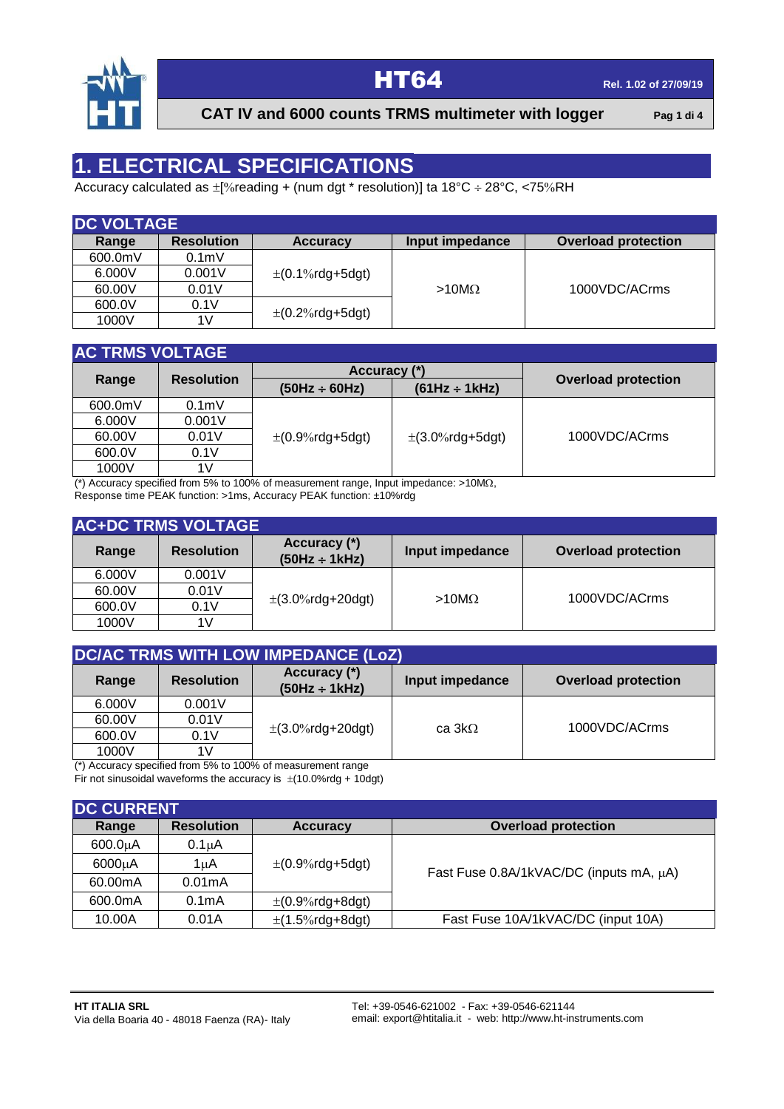

# **HT64 Rel. 1.02** of 27/09/19

**CAT IV and 6000 counts TRMS multimeter with logger** Pag 1 di 4

## **1. ELECTRICAL SPECIFICATIONS**

Accuracy calculated as  $\pm$ [%reading + (num dgt \* resolution)] ta 18°C ÷ 28°C, <75%RH

| <b>DC VOLTAGE</b> |                   |                      |                 |                            |
|-------------------|-------------------|----------------------|-----------------|----------------------------|
| Range             | <b>Resolution</b> | <b>Accuracy</b>      | Input impedance | <b>Overload protection</b> |
| 600.0mV           | 0.1 <sub>m</sub>  |                      |                 |                            |
| 6.000V            | 0.001V            | $\pm$ (0.1%rdg+5dgt) |                 |                            |
| 60.00V            | 0.01V             |                      | $>10M\Omega$    | 1000VDC/ACrms              |
| 600.0V            | 0.1V              |                      |                 |                            |
| 1000V             | 1V                | $\pm$ (0.2%rdg+5dgt) |                 |                            |

### **AC TRMS VOLTAGE**

|         |                   | Accuracy (*)           |                      |                            |
|---------|-------------------|------------------------|----------------------|----------------------------|
| Range   | <b>Resolution</b> | $(50Hz \div 60Hz)$     | $(61Hz \div 1kHz)$   | <b>Overload protection</b> |
| 600.0mV | 0.1 <sub>m</sub>  |                        |                      |                            |
| 6.000V  | 0.001V            |                        |                      |                            |
| 60.00V  | 0.01V             | $\pm (0.9\%$ rdg+5dgt) | $\pm$ (3.0%rdg+5dgt) | 1000VDC/ACrms              |
| 600.0V  | 0.1V              |                        |                      |                            |
| 1000V   | 1 V               |                        |                      |                            |

(\*) Accuracy specified from 5% to 100% of measurement range, Input impedance:  $>10M<sub>\Omega</sub>$ ,

Response time PEAK function: >1ms, Accuracy PEAK function: ±10%rdg

|        | <b>AC+DC TRMS VOLTAGE</b> |                                    |                 |                            |
|--------|---------------------------|------------------------------------|-----------------|----------------------------|
| Range  | <b>Resolution</b>         | Accuracy (*)<br>$(50Hz \div 1kHz)$ | Input impedance | <b>Overload protection</b> |
| 6.000V | 0.001V                    |                                    |                 |                            |
| 60.00V | 0.01V                     |                                    |                 | 1000VDC/ACrms              |
| 600.0V | 0.1V                      | $\pm$ (3.0%rdg+20dgt)              | $>10M\Omega$    |                            |
| 1000V  | 1V                        |                                    |                 |                            |

| DC/AC TRMS WITH LOW IMPEDANCE (LoZ) |                   |                                                                             |                 |                            |  |  |
|-------------------------------------|-------------------|-----------------------------------------------------------------------------|-----------------|----------------------------|--|--|
| Range                               | <b>Resolution</b> | Accuracy (*)<br>$(50Hz \div 1kHz)$                                          | Input impedance | <b>Overload protection</b> |  |  |
| 6.000V                              | 0.001V            |                                                                             |                 |                            |  |  |
| 60.00V                              | 0.01V             |                                                                             | ca $3k\Omega$   | 1000VDC/ACrms              |  |  |
| 600.0V                              | 0.1V              | $\pm$ (3.0%rdg+20dgt)                                                       |                 |                            |  |  |
| 1000V                               | 1V                | $\binom{*}{k}$ accuracy appointed from $E_0$ to $4000$ of measurement repas |                 |                            |  |  |

(\*) Accuracy specified from 5% to 100% of measurement range Fir not sinusoidal waveforms the accuracy is  $\pm$ (10.0%rdg + 10dgt)

| <b>DC CURRENT</b> |                    |                        |                                         |
|-------------------|--------------------|------------------------|-----------------------------------------|
| Range             | <b>Resolution</b>  | <b>Accuracy</b>        | <b>Overload protection</b>              |
| $600.0\muA$       | $0.1\muA$          |                        |                                         |
| 6000µA            | 1uA                | $\pm (0.9\%$ rdg+5dgt) | Fast Fuse 0.8A/1kVAC/DC (inputs mA, µA) |
| 60.00mA           | 0.01mA             |                        |                                         |
| 600.0mA           | 0.1 <sub>m</sub> A | $\pm (0.9\%$ rdg+8dgt) |                                         |
| 10.00A            | 0.01A              | $\pm$ (1.5%rdg+8dgt)   | Fast Fuse 10A/1kVAC/DC (input 10A)      |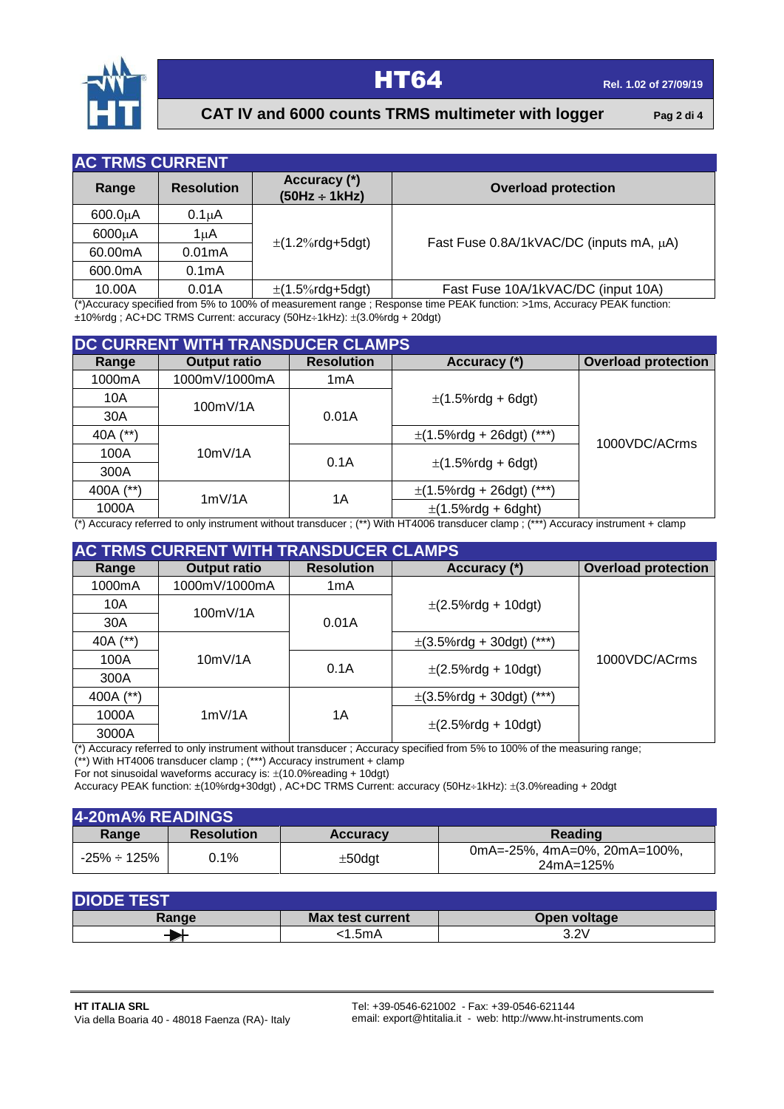

### **HT64 Rel. 1.02** of 27/09/19

### **CAT IV and 6000 counts TRMS multimeter with logger** Pag 2 di 4

| <b>AC TRMS CURRENT</b> |                    |                                    |                                         |
|------------------------|--------------------|------------------------------------|-----------------------------------------|
| Range                  | <b>Resolution</b>  | Accuracy (*)<br>$(50Hz \div 1kHz)$ | <b>Overload protection</b>              |
| $600.0\mu A$           | $0.1\mu A$         |                                    |                                         |
| 6000µA                 | 1μΑ                | $\pm$ (1.2%rdg+5dgt)               | Fast Fuse 0.8A/1kVAC/DC (inputs mA, µA) |
| 60.00mA                | 0.01mA             |                                    |                                         |
| 600.0mA                | 0.1 <sub>m</sub> A |                                    |                                         |
| 10.00A                 | 0.01A              | $\pm$ (1.5%rdg+5dgt)               | Fast Fuse 10A/1kVAC/DC (input 10A)      |

(\*)Accuracy specified from 5% to 100% of measurement range ; Response time PEAK function: >1ms, Accuracy PEAK function:  $±10\%$ rdg; AC+DC TRMS Current: accuracy (50Hz $±1$ kHz):  $±(3.0\%$ rdg + 20dgt)

|           | DC CURRENT WITH TRANSDUCER CLAMPS |                   |                               |                            |
|-----------|-----------------------------------|-------------------|-------------------------------|----------------------------|
| Range     | <b>Output ratio</b>               | <b>Resolution</b> | Accuracy (*)                  | <b>Overload protection</b> |
| 1000mA    | 1000mV/1000mA                     | 1mA               |                               |                            |
| 10A       | 100mV/1A                          |                   | $\pm$ (1.5%rdg + 6dgt)        |                            |
| 30A       |                                   | 0.01A             |                               |                            |
| 40A (**)  |                                   |                   | $\pm$ (1.5%rdg + 26dgt) (***) | 1000VDC/ACrms              |
| 100A      | 10mV/1A                           | 0.1A              |                               |                            |
| 300A      |                                   |                   | $\pm$ (1.5%rdg + 6dgt)        |                            |
| 400A (**) | 1mV/1A                            | 1А                | $\pm$ (1.5%rdg + 26dgt) (***) |                            |
| 1000A     |                                   |                   | $\pm$ (1.5%rdg + 6dght)       |                            |

(\*) Accuracy referred to only instrument without transducer ; (\*\*) With HT4006 transducer clamp ; (\*\*\*) Accuracy instrument + clamp

|           | <b>AC TRMS CURRENT WITH TRANSDUCER CLAMPS</b> |                   |                               |                            |  |
|-----------|-----------------------------------------------|-------------------|-------------------------------|----------------------------|--|
| Range     | <b>Output ratio</b>                           | <b>Resolution</b> | Accuracy (*)                  | <b>Overload protection</b> |  |
| 1000mA    | 1000mV/1000mA                                 | 1mA               |                               |                            |  |
| 10A       | 100mV/1A                                      |                   | $\pm$ (2.5%rdg + 10dgt)       |                            |  |
| 30A       |                                               | 0.01A             |                               |                            |  |
| 40A (**)  |                                               |                   | $\pm$ (3.5%rdg + 30dgt) (***) |                            |  |
| 100A      | 10mV/1A                                       | 0.1A              |                               | 1000VDC/ACrms              |  |
| 300A      |                                               |                   | $\pm$ (2.5%rdg + 10dgt)       |                            |  |
| 400A (**) |                                               |                   | $\pm$ (3.5%rdg + 30dgt) (***) |                            |  |
| 1000A     | 1mV/1A<br>1A                                  |                   |                               |                            |  |
| 3000A     |                                               |                   | $\pm$ (2.5%rdg + 10dgt)       |                            |  |

(\*) Accuracy referred to only instrument without transducer ; Accuracy specified from 5% to 100% of the measuring range;

(\*\*) With HT4006 transducer clamp ; (\*\*\*) Accuracy instrument + clamp For not sinusoidal waveforms accuracy is:  $\pm$ (10.0%reading + 10dgt)

Accuracy PEAK function: ±(10%rdg+30dgt), AC+DC TRMS Current: accuracy (50Hz÷1kHz): ±(3.0%reading + 20dgt

| 4-20mA% READINGS |                   |                 |                                           |
|------------------|-------------------|-----------------|-------------------------------------------|
| Range            | <b>Resolution</b> | <b>Accuracy</b> | Reading                                   |
| -25% ÷ 125%      | $0.1\%$           | $\pm$ 50dgt     | 0mA=-25%, 4mA=0%, 20mA=100%.<br>24mA=125% |

| <b>DIODE TEST</b> |                         |              |  |  |  |
|-------------------|-------------------------|--------------|--|--|--|
| Range             | <b>Max test current</b> | Open voltage |  |  |  |
|                   | :1.5mA                  | 3.2V         |  |  |  |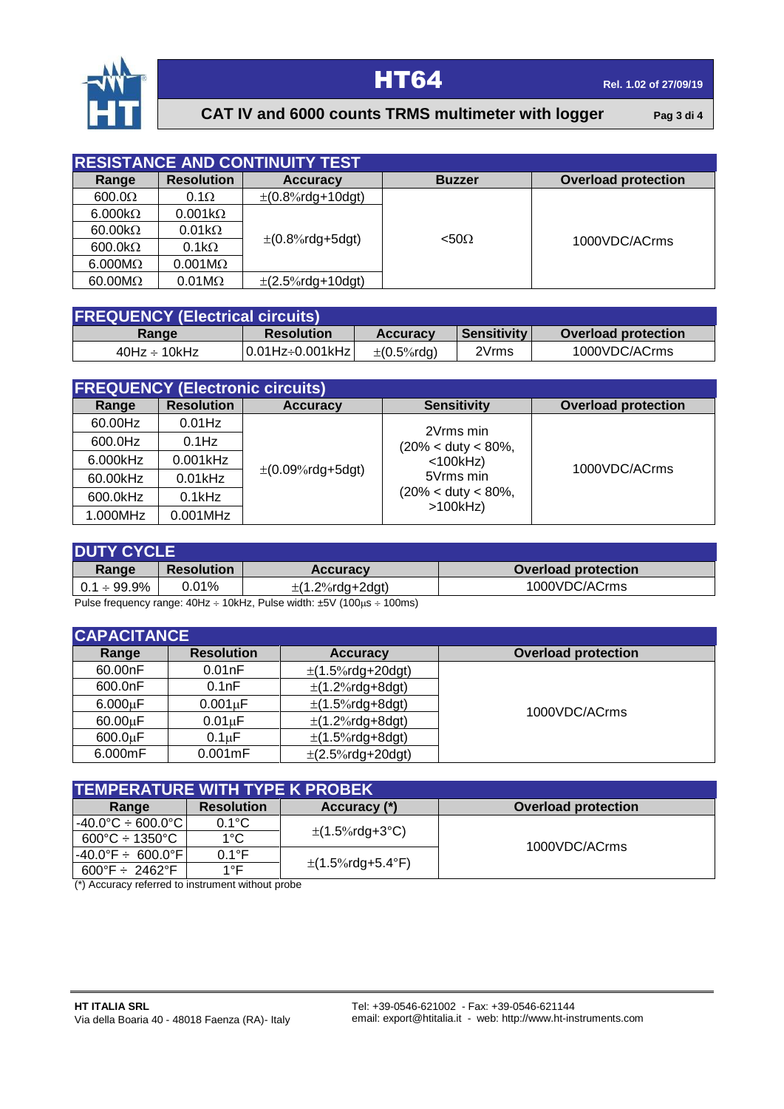

# **HT64 Rel. 1.02** of 27/09/19

### **CAT IV and 6000 counts TRMS multimeter with logger** Pag 3 di 4

|                        |                        | <b>RESISTANCE AND CONTINUITY TEST</b> |               |                            |
|------------------------|------------------------|---------------------------------------|---------------|----------------------------|
| Range                  | <b>Resolution</b>      | <b>Accuracy</b>                       | <b>Buzzer</b> | <b>Overload protection</b> |
| $600.0\Omega$          | $0.1\Omega$            | $\pm (0.8\% \text{rdg+10dgt})$        |               |                            |
| $6.000k\Omega$         | $0.001k\Omega$         |                                       |               |                            |
| $60.00k\Omega$         | $0.01k\Omega$          |                                       | $< 50\Omega$  |                            |
| 600.0k $\Omega$        | $0.1k\Omega$           | $\pm (0.8\%$ rdg+5dgt)                |               | 1000VDC/ACrms              |
| $6.000M\Omega$         | $0.001 \text{M}\Omega$ |                                       |               |                            |
| $60.00 \text{M}\Omega$ | $0.01 \text{M}\Omega$  | $\pm$ (2.5%rdg+10dgt)                 |               |                            |

| <b>FREQUENCY (Electrical circuits)</b> |                   |                   |                    |                            |  |
|----------------------------------------|-------------------|-------------------|--------------------|----------------------------|--|
| Range                                  | <b>Resolution</b> | <b>Accuracy</b>   | <b>Sensitivity</b> | <b>Overload protection</b> |  |
| $40$ Hz ÷ 10kHz                        | 10.01Hz÷0.001kHz1 | $\pm (0.5\%$ rdg) | 2Vrms              | 1000VDC/ACrms              |  |

| <b>FREQUENCY (Electronic circuits)</b> |                   |                                |                                                                                                                              |                            |  |  |  |  |
|----------------------------------------|-------------------|--------------------------------|------------------------------------------------------------------------------------------------------------------------------|----------------------------|--|--|--|--|
| Range                                  | <b>Resolution</b> | <b>Accuracy</b>                | <b>Sensitivity</b>                                                                                                           | <b>Overload protection</b> |  |  |  |  |
| 60.00Hz                                | $0.01$ Hz         | $\pm (0.09\% \text{rdg+5dgt})$ | 2Vrms min<br>$(20\% < \text{duty} < 80\%$ ,<br>$<$ 100 $k$ Hz)<br>5Vrms min<br>$(20\% < \text{duty} < 80\%$ ,<br>$>100$ kHz) | 1000VDC/ACrms              |  |  |  |  |
| 600.0Hz                                | $0.1$ Hz          |                                |                                                                                                                              |                            |  |  |  |  |
| 6.000kHz                               | 0.001kHz          |                                |                                                                                                                              |                            |  |  |  |  |
| 60.00kHz                               | $0.01$ kHz        |                                |                                                                                                                              |                            |  |  |  |  |
| 600.0kHz                               | $0.1$ kHz         |                                |                                                                                                                              |                            |  |  |  |  |
| 1.000MHz                               | $0.001$ MHz       |                                |                                                                                                                              |                            |  |  |  |  |

| <b>DUTY CYCLE</b> |                   |                      |                            |  |  |
|-------------------|-------------------|----------------------|----------------------------|--|--|
| Range             | <b>Resolution</b> | <b>Accuracy</b>      | <b>Overload protection</b> |  |  |
| $0.1\div 99.9\%$  | $0.01\%$          | $\pm$ (1.2%rdg+2dgt) | 1000VDC/ACrms              |  |  |

Pulse frequency range:  $40Hz \div 10kHz$ , Pulse width:  $\pm 5V$  ( $100\mu s \div 100ms$ )

| <b>CAPACITANCE</b> |                   |                       |                            |  |  |
|--------------------|-------------------|-----------------------|----------------------------|--|--|
| Range              | <b>Resolution</b> | <b>Accuracy</b>       | <b>Overload protection</b> |  |  |
| 60.00nF            | 0.01nF            | $\pm$ (1.5%rdg+20dgt) |                            |  |  |
| 600.0nF            | 0.1nF             | $\pm$ (1.2%rdg+8dgt)  |                            |  |  |
| $6.000\mu F$       | $0.001 \mu F$     | $\pm$ (1.5%rdg+8dgt)  | 1000VDC/ACrms              |  |  |
| $60.00 \mu F$      | $0.01 \mu F$      | $\pm$ (1.2%rdg+8dgt)  |                            |  |  |
| $600.0 \mu F$      | $0.1 \mu F$       | $\pm$ (1.5%rdg+8dgt)  |                            |  |  |
| 6.000mF            | $0.001$ mF        | $\pm$ (2.5%rdg+20dgt) |                            |  |  |

| <b>TEMPERATURE WITH TYPE K PROBEK</b>            |                   |                       |                            |  |  |  |
|--------------------------------------------------|-------------------|-----------------------|----------------------------|--|--|--|
| Range                                            | <b>Resolution</b> | Accuracy (*)          | <b>Overload protection</b> |  |  |  |
| 1-40.0°C ÷ 600.0°C l                             | $0.1^{\circ}$ C   |                       | 1000VDC/ACrms              |  |  |  |
| 600°C ÷ 1350°C                                   | $1^{\circ}$ C     | $\pm$ (1.5%rdg+3°C)   |                            |  |  |  |
| $ -40.0^{\circ}$ F $\div$ 600.0 $^{\circ}$ F $ $ | $0.1^{\circ}$ F   |                       |                            |  |  |  |
| 600°F $\div$ 2462°F                              | 1°F               | $\pm$ (1.5%rdg+5.4°F) |                            |  |  |  |

(\*) Accuracy referred to instrument without probe